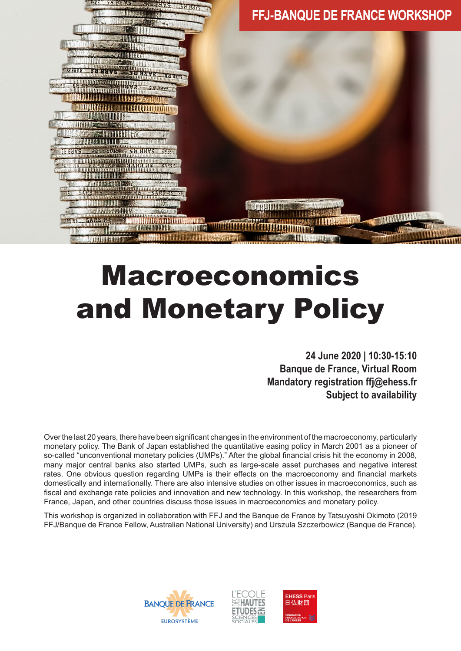

# Macroeconomics and Monetary Policy

**24 June 2020 | 10:30-15:10 Banque de France, Virtual Room Mandatory registration ffj@ehess.fr Subject to availability**

Over the last 20 years, there have been significant changes in the environment of the macroeconomy, particularly monetary policy. The Bank of Japan established the quantitative easing policy in March 2001 as a pioneer of so-called "unconventional monetary policies (UMPs)." After the global financial crisis hit the economy in 2008, many major central banks also started UMPs, such as large-scale asset purchases and negative interest rates. One obvious question regarding UMPs is their effects on the macroeconomy and financial markets domestically and internationally. There are also intensive studies on other issues in macroeconomics, such as fiscal and exchange rate policies and innovation and new technology. In this workshop, the researchers from France, Japan, and other countries discuss those issues in macroeconomics and monetary policy.

This workshop is organized in collaboration with FFJ and the Banque de France by Tatsuyoshi Okimoto (2019 FFJ/Banque de France Fellow, Australian National University) and Urszula Szczerbowicz (Banque de France).

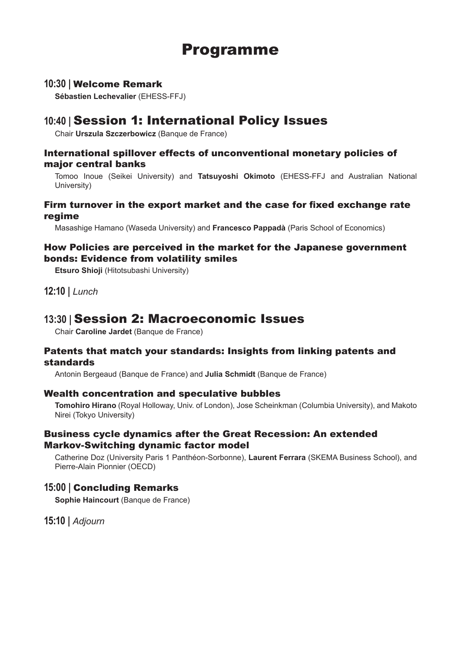## Programme

#### **10:30 |** Welcome Remark

**Sébastien Lechevalier** (EHESS-FFJ)

### **10:40 |** Session 1: International Policy Issues

Chair **Urszula Szczerbowicz** (Banque de France)

#### International spillover effects of unconventional monetary policies of major central banks

Tomoo Inoue (Seikei University) and **Tatsuyoshi Okimoto** (EHESS-FFJ and Australian National University)

#### Firm turnover in the export market and the case for fixed exchange rate regime

Masashige Hamano (Waseda University) and **Francesco Pappadà** (Paris School of Economics)

#### How Policies are perceived in the market for the Japanese government bonds: Evidence from volatility smiles

**Etsuro Shioji** (Hitotsubashi University)

**12:10 |** *Lunch*

## **13:30 |** Session 2: Macroeconomic Issues

Chair **Caroline Jardet** (Banque de France)

#### Patents that match your standards: Insights from linking patents and standards

Antonin Bergeaud (Banque de France) and **Julia Schmidt** (Banque de France)

#### Wealth concentration and speculative bubbles

**Tomohiro Hirano** (Royal Holloway, Univ. of London), Jose Scheinkman (Columbia University), and Makoto Nirei (Tokyo University)

#### Business cycle dynamics after the Great Recession: An extended Markov-Switching dynamic factor model

Catherine Doz (University Paris 1 Panthéon-Sorbonne), **Laurent Ferrara** (SKEMA Business School), and Pierre-Alain Pionnier (OECD)

#### **15:00 |** Concluding Remarks

**Sophie Haincourt** (Banque de France)

**15:10 |** *Adjourn*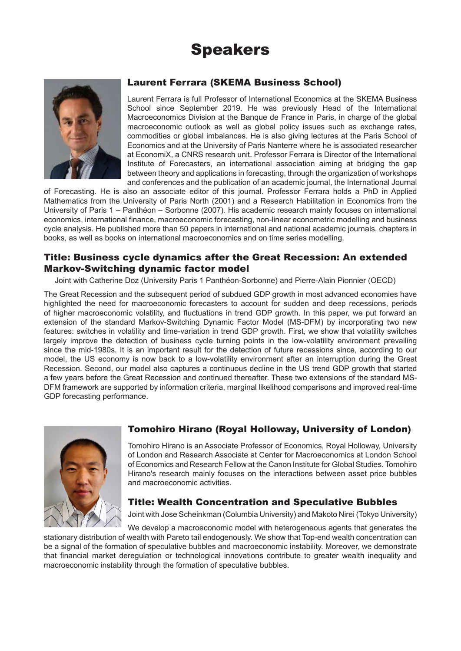# Speakers



#### Laurent Ferrara (SKEMA Business School)

Laurent Ferrara is full Professor of International Economics at the SKEMA Business School since September 2019. He was previously Head of the International Macroeconomics Division at the Banque de France in Paris, in charge of the global macroeconomic outlook as well as global policy issues such as exchange rates, commodities or global imbalances. He is also giving lectures at the Paris School of Economics and at the University of Paris Nanterre where he is associated researcher at EconomiX, a CNRS research unit. Professor Ferrara is Director of the International Institute of Forecasters, an international association aiming at bridging the gap between theory and applications in forecasting, through the organization of workshops and conferences and the publication of an academic journal, the International Journal

of Forecasting. He is also an associate editor of this journal. Professor Ferrara holds a PhD in Applied Mathematics from the University of Paris North (2001) and a Research Habilitation in Economics from the University of Paris 1 – Panthéon – Sorbonne (2007). His academic research mainly focuses on international economics, international finance, macroeconomic forecasting, non-linear econometric modelling and business cycle analysis. He published more than 50 papers in international and national academic journals, chapters in books, as well as books on international macroeconomics and on time series modelling.

#### Title: Business cycle dynamics after the Great Recession: An extended Markov-Switching dynamic factor model

Joint with Catherine Doz (University Paris 1 Panthéon-Sorbonne) and Pierre-Alain Pionnier (OECD)

The Great Recession and the subsequent period of subdued GDP growth in most advanced economies have highlighted the need for macroeconomic forecasters to account for sudden and deep recessions, periods of higher macroeconomic volatility, and fluctuations in trend GDP growth. In this paper, we put forward an extension of the standard Markov-Switching Dynamic Factor Model (MS-DFM) by incorporating two new features: switches in volatility and time-variation in trend GDP growth. First, we show that volatility switches largely improve the detection of business cycle turning points in the low-volatility environment prevailing since the mid-1980s. It is an important result for the detection of future recessions since, according to our model, the US economy is now back to a low-volatility environment after an interruption during the Great Recession. Second, our model also captures a continuous decline in the US trend GDP growth that started a few years before the Great Recession and continued thereafter. These two extensions of the standard MS-DFM framework are supported by information criteria, marginal likelihood comparisons and improved real-time GDP forecasting performance.



#### Tomohiro Hirano (Royal Holloway, University of London)

Tomohiro Hirano is an Associate Professor of Economics, Royal Holloway, University of London and Research Associate at Center for Macroeconomics at London School of Economics and Research Fellow at the Canon Institute for Global Studies. Tomohiro Hirano's research mainly focuses on the interactions between asset price bubbles and macroeconomic activities.

#### Title: Wealth Concentration and Speculative Bubbles

Joint with Jose Scheinkman (Columbia University) and Makoto Nirei (Tokyo University)

We develop a macroeconomic model with heterogeneous agents that generates the stationary distribution of wealth with Pareto tail endogenously. We show that Top-end wealth concentration can be a signal of the formation of speculative bubbles and macroeconomic instability. Moreover, we demonstrate that financial market deregulation or technological innovations contribute to greater wealth inequality and macroeconomic instability through the formation of speculative bubbles.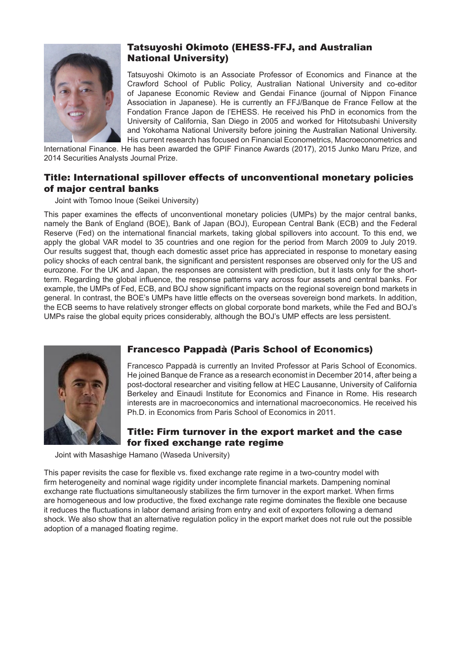

#### Tatsuyoshi Okimoto (EHESS-FFJ, and Australian National University)

Tatsuyoshi Okimoto is an Associate Professor of Economics and Finance at the Crawford School of Public Policy, Australian National University and co-editor of Japanese Economic Review and Gendai Finance (journal of Nippon Finance Association in Japanese). He is currently an FFJ/Banque de France Fellow at the Fondation France Japon de l'EHESS. He received his PhD in economics from the University of California, San Diego in 2005 and worked for Hitotsubashi University and Yokohama National University before joining the Australian National University. His current research has focused on Financial Econometrics, Macroeconometrics and

International Finance. He has been awarded the GPIF Finance Awards (2017), 2015 Junko Maru Prize, and 2014 Securities Analysts Journal Prize.

#### Title: International spillover effects of unconventional monetary policies of major central banks

Joint with Tomoo Inoue (Seikei University)

This paper examines the effects of unconventional monetary policies (UMPs) by the major central banks, namely the Bank of England (BOE), Bank of Japan (BOJ), European Central Bank (ECB) and the Federal Reserve (Fed) on the international financial markets, taking global spillovers into account. To this end, we apply the global VAR model to 35 countries and one region for the period from March 2009 to July 2019. Our results suggest that, though each domestic asset price has appreciated in response to monetary easing policy shocks of each central bank, the significant and persistent responses are observed only for the US and eurozone. For the UK and Japan, the responses are consistent with prediction, but it lasts only for the shortterm. Regarding the global influence, the response patterns vary across four assets and central banks. For example, the UMPs of Fed, ECB, and BOJ show significant impacts on the regional sovereign bond markets in general. In contrast, the BOE's UMPs have little effects on the overseas sovereign bond markets. In addition, the ECB seems to have relatively stronger effects on global corporate bond markets, while the Fed and BOJ's UMPs raise the global equity prices considerably, although the BOJ's UMP effects are less persistent.



#### Francesco Pappadà (Paris School of Economics)

Francesco Pappadà is currently an Invited Professor at Paris School of Economics. He joined Banque de France as a research economist in December 2014, after being a post-doctoral researcher and visiting fellow at HEC Lausanne, University of California Berkeley and Einaudi Institute for Economics and Finance in Rome. His research interests are in macroeconomics and international macroeconomics. He received his Ph.D. in Economics from Paris School of Economics in 2011.

#### Title: Firm turnover in the export market and the case for fixed exchange rate regime

Joint with Masashige Hamano (Waseda University)

This paper revisits the case for flexible vs. fixed exchange rate regime in a two-country model with firm heterogeneity and nominal wage rigidity under incomplete financial markets. Dampening nominal exchange rate fluctuations simultaneously stabilizes the firm turnover in the export market. When firms are homogeneous and low productive, the fixed exchange rate regime dominates the flexible one because it reduces the fluctuations in labor demand arising from entry and exit of exporters following a demand shock. We also show that an alternative regulation policy in the export market does not rule out the possible adoption of a managed floating regime.